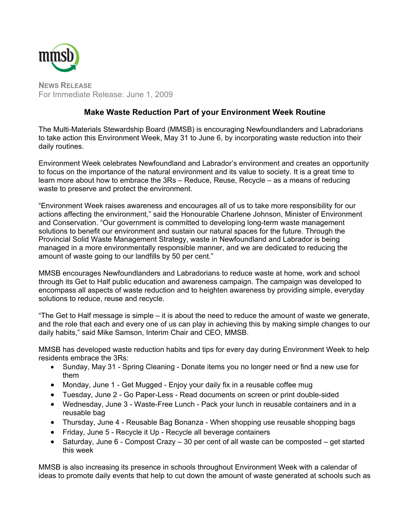

**NEWS RELEASE** For Immediate Release: June 1, 2009

## **Make Waste Reduction Part of your Environment Week Routine**

The Multi-Materials Stewardship Board (MMSB) is encouraging Newfoundlanders and Labradorians to take action this Environment Week, May 31 to June 6, by incorporating waste reduction into their daily routines.

Environment Week celebrates Newfoundland and Labrador's environment and creates an opportunity to focus on the importance of the natural environment and its value to society. It is a great time to learn more about how to embrace the 3Rs – Reduce, Reuse, Recycle – as a means of reducing waste to preserve and protect the environment.

"Environment Week raises awareness and encourages all of us to take more responsibility for our actions affecting the environment," said the Honourable Charlene Johnson, Minister of Environment and Conservation. "Our government is committed to developing long-term waste management solutions to benefit our environment and sustain our natural spaces for the future. Through the Provincial Solid Waste Management Strategy, waste in Newfoundland and Labrador is being managed in a more environmentally responsible manner, and we are dedicated to reducing the amount of waste going to our landfills by 50 per cent."

MMSB encourages Newfoundlanders and Labradorians to reduce waste at home, work and school through its Get to Half public education and awareness campaign. The campaign was developed to encompass all aspects of waste reduction and to heighten awareness by providing simple, everyday solutions to reduce, reuse and recycle.

"The Get to Half message is simple – it is about the need to reduce the amount of waste we generate, and the role that each and every one of us can play in achieving this by making simple changes to our daily habits," said Mike Samson, Interim Chair and CEO, MMSB.

MMSB has developed waste reduction habits and tips for every day during Environment Week to help residents embrace the 3Rs:

- Sunday, May 31 Spring Cleaning Donate items you no longer need or find a new use for them
- Monday, June 1 Get Mugged Enjoy your daily fix in a reusable coffee mug
- Tuesday, June 2 Go Paper-Less Read documents on screen or print double-sided
- Wednesday, June 3 Waste-Free Lunch Pack your lunch in reusable containers and in a reusable bag
- Thursday, June 4 Reusable Bag Bonanza When shopping use reusable shopping bags
- Friday, June 5 Recycle it Up Recycle all beverage containers
- Saturday, June 6 Compost Crazy 30 per cent of all waste can be composted get started this week

MMSB is also increasing its presence in schools throughout Environment Week with a calendar of ideas to promote daily events that help to cut down the amount of waste generated at schools such as